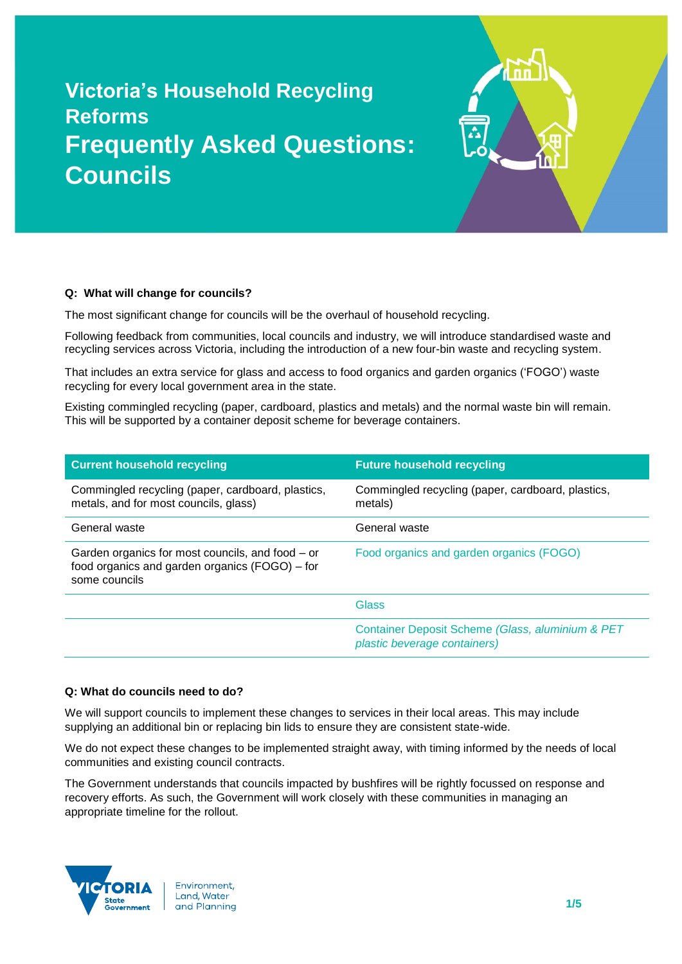# **Victoria's Household Recycling Reforms Frequently Asked Questions: Councils**

# **Q: What will change for councils?**

The most significant change for councils will be the overhaul of household recycling.

Following feedback from communities, local councils and industry, we will introduce standardised waste and recycling services across Victoria, including the introduction of a new four-bin waste and recycling system.

That includes an extra service for glass and access to food organics and garden organics ('FOGO') waste recycling for every local government area in the state.

Existing commingled recycling (paper, cardboard, plastics and metals) and the normal waste bin will remain. This will be supported by a container deposit scheme for beverage containers.

| <b>Current household recycling</b>                                                                                  | <b>Future household recycling</b>                                                |
|---------------------------------------------------------------------------------------------------------------------|----------------------------------------------------------------------------------|
| Commingled recycling (paper, cardboard, plastics,<br>metals, and for most councils, glass)                          | Commingled recycling (paper, cardboard, plastics,<br>metals)                     |
| General waste                                                                                                       | General waste                                                                    |
| Garden organics for most councils, and food – or<br>food organics and garden organics (FOGO) – for<br>some councils | Food organics and garden organics (FOGO)                                         |
|                                                                                                                     | Glass                                                                            |
|                                                                                                                     | Container Deposit Scheme (Glass, aluminium & PET<br>plastic beverage containers) |

### **Q: What do councils need to do?**

We will support councils to implement these changes to services in their local areas. This may include supplying an additional bin or replacing bin lids to ensure they are consistent state-wide.

We do not expect these changes to be implemented straight away, with timing informed by the needs of local communities and existing council contracts.

The Government understands that councils impacted by bushfires will be rightly focussed on response and recovery efforts. As such, the Government will work closely with these communities in managing an appropriate timeline for the rollout.

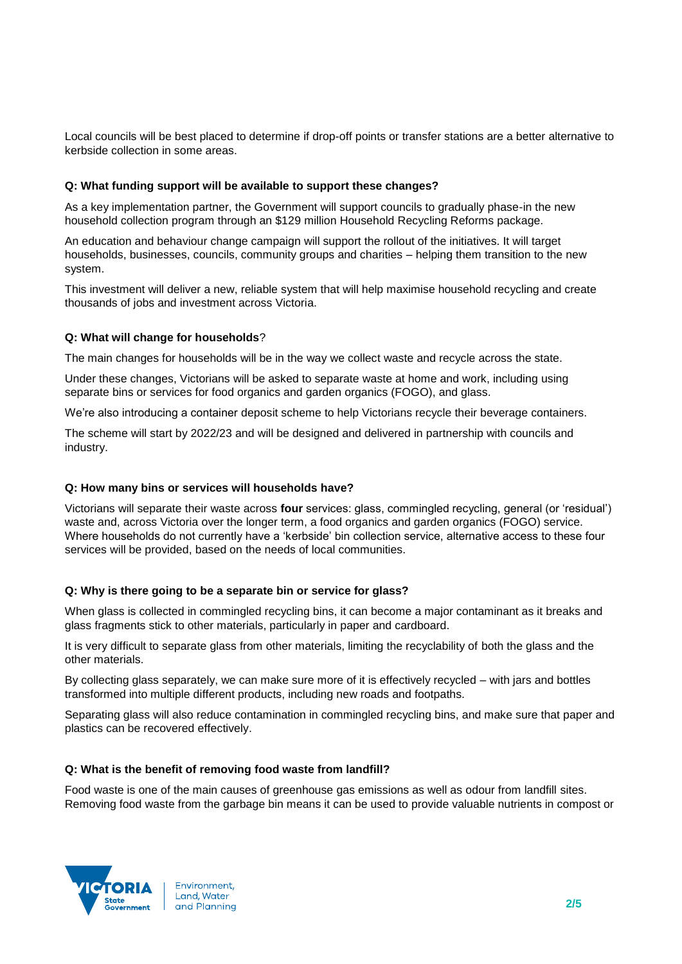Local councils will be best placed to determine if drop-off points or transfer stations are a better alternative to kerbside collection in some areas.

## **Q: What funding support will be available to support these changes?**

As a key implementation partner, the Government will support councils to gradually phase-in the new household collection program through an \$129 million Household Recycling Reforms package.

An education and behaviour change campaign will support the rollout of the initiatives. It will target households, businesses, councils, community groups and charities – helping them transition to the new system.

This investment will deliver a new, reliable system that will help maximise household recycling and create thousands of jobs and investment across Victoria.

# **Q: What will change for households**?

The main changes for households will be in the way we collect waste and recycle across the state.

Under these changes, Victorians will be asked to separate waste at home and work, including using separate bins or services for food organics and garden organics (FOGO), and glass.

We're also introducing a container deposit scheme to help Victorians recycle their beverage containers.

The scheme will start by 2022/23 and will be designed and delivered in partnership with councils and industry.

## **Q: How many bins or services will households have?**

Victorians will separate their waste across **four** services: glass, commingled recycling, general (or 'residual') waste and, across Victoria over the longer term, a food organics and garden organics (FOGO) service. Where households do not currently have a 'kerbside' bin collection service, alternative access to these four services will be provided, based on the needs of local communities.

## **Q: Why is there going to be a separate bin or service for glass?**

When glass is collected in commingled recycling bins, it can become a major contaminant as it breaks and glass fragments stick to other materials, particularly in paper and cardboard.

It is very difficult to separate glass from other materials, limiting the recyclability of both the glass and the other materials.

By collecting glass separately, we can make sure more of it is effectively recycled – with jars and bottles transformed into multiple different products, including new roads and footpaths.

Separating glass will also reduce contamination in commingled recycling bins, and make sure that paper and plastics can be recovered effectively.

## **Q: What is the benefit of removing food waste from landfill?**

Food waste is one of the main causes of greenhouse gas emissions as well as odour from landfill sites. Removing food waste from the garbage bin means it can be used to provide valuable nutrients in compost or

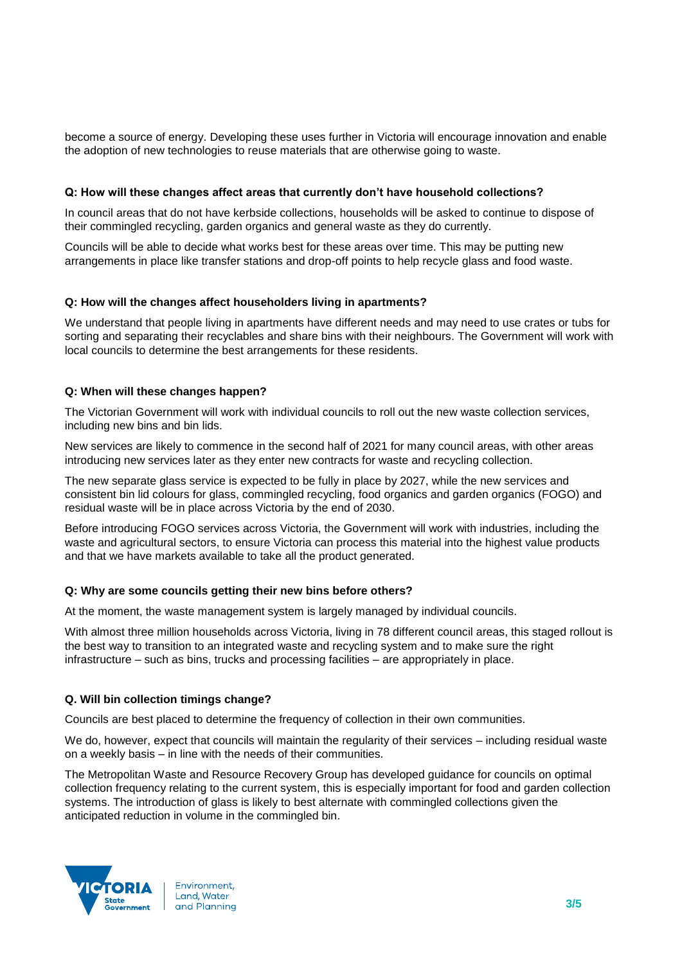become a source of energy. Developing these uses further in Victoria will encourage innovation and enable the adoption of new technologies to reuse materials that are otherwise going to waste.

## **Q: How will these changes affect areas that currently don't have household collections?**

In council areas that do not have kerbside collections, households will be asked to continue to dispose of their commingled recycling, garden organics and general waste as they do currently.

Councils will be able to decide what works best for these areas over time. This may be putting new arrangements in place like transfer stations and drop-off points to help recycle glass and food waste.

### **Q: How will the changes affect householders living in apartments?**

We understand that people living in apartments have different needs and may need to use crates or tubs for sorting and separating their recyclables and share bins with their neighbours. The Government will work with local councils to determine the best arrangements for these residents.

## **Q: When will these changes happen?**

The Victorian Government will work with individual councils to roll out the new waste collection services, including new bins and bin lids.

New services are likely to commence in the second half of 2021 for many council areas, with other areas introducing new services later as they enter new contracts for waste and recycling collection.

The new separate glass service is expected to be fully in place by 2027, while the new services and consistent bin lid colours for glass, commingled recycling, food organics and garden organics (FOGO) and residual waste will be in place across Victoria by the end of 2030.

Before introducing FOGO services across Victoria, the Government will work with industries, including the waste and agricultural sectors, to ensure Victoria can process this material into the highest value products and that we have markets available to take all the product generated.

### **Q: Why are some councils getting their new bins before others?**

At the moment, the waste management system is largely managed by individual councils.

With almost three million households across Victoria, living in 78 different council areas, this staged rollout is the best way to transition to an integrated waste and recycling system and to make sure the right infrastructure – such as bins, trucks and processing facilities – are appropriately in place.

## **Q. Will bin collection timings change?**

Councils are best placed to determine the frequency of collection in their own communities.

We do, however, expect that councils will maintain the regularity of their services – including residual waste on a weekly basis – in line with the needs of their communities.

The Metropolitan Waste and Resource Recovery Group has developed guidance for councils on optimal collection frequency relating to the current system, this is especially important for food and garden collection systems. The introduction of glass is likely to best alternate with commingled collections given the anticipated reduction in volume in the commingled bin.